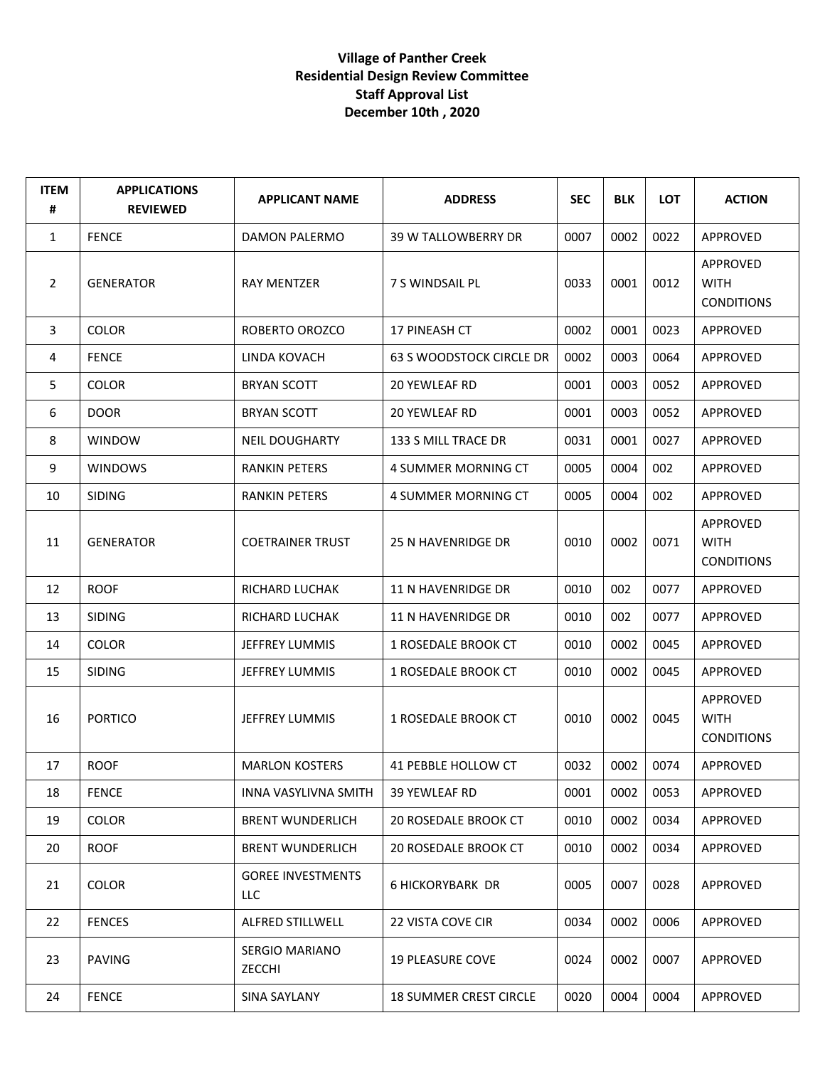## **Village of Panther Creek Residential Design Review Committee Staff Approval List December 10th , 2020**

| <b>ITEM</b><br># | <b>APPLICATIONS</b><br><b>REVIEWED</b> | <b>APPLICANT NAME</b>           | <b>ADDRESS</b>                  | <b>SEC</b> | <b>BLK</b> | <b>LOT</b> | <b>ACTION</b>                                |
|------------------|----------------------------------------|---------------------------------|---------------------------------|------------|------------|------------|----------------------------------------------|
| 1                | <b>FENCE</b>                           | DAMON PALERMO                   | 39 W TALLOWBERRY DR             | 0007       | 0002       | 0022       | APPROVED                                     |
| $\overline{2}$   | <b>GENERATOR</b>                       | <b>RAY MENTZER</b>              | 7 S WINDSAIL PL                 | 0033       | 0001       | 0012       | APPROVED<br><b>WITH</b><br><b>CONDITIONS</b> |
| 3                | <b>COLOR</b>                           | ROBERTO OROZCO                  | 17 PINEASH CT                   | 0002       | 0001       | 0023       | <b>APPROVED</b>                              |
| 4                | <b>FENCE</b>                           | LINDA KOVACH                    | <b>63 S WOODSTOCK CIRCLE DR</b> | 0002       | 0003       | 0064       | APPROVED                                     |
| 5                | <b>COLOR</b>                           | <b>BRYAN SCOTT</b>              | 20 YEWLEAF RD                   | 0001       | 0003       | 0052       | APPROVED                                     |
| 6                | <b>DOOR</b>                            | <b>BRYAN SCOTT</b>              | 20 YEWLEAF RD                   | 0001       | 0003       | 0052       | APPROVED                                     |
| 8                | <b>WINDOW</b>                          | <b>NEIL DOUGHARTY</b>           | 133 S MILL TRACE DR             | 0031       | 0001       | 0027       | APPROVED                                     |
| 9                | <b>WINDOWS</b>                         | <b>RANKIN PETERS</b>            | 4 SUMMER MORNING CT             | 0005       | 0004       | 002        | APPROVED                                     |
| 10               | <b>SIDING</b>                          | <b>RANKIN PETERS</b>            | 4 SUMMER MORNING CT             | 0005       | 0004       | 002        | APPROVED                                     |
| 11               | <b>GENERATOR</b>                       | <b>COETRAINER TRUST</b>         | 25 N HAVENRIDGE DR              | 0010       | 0002       | 0071       | APPROVED<br><b>WITH</b><br><b>CONDITIONS</b> |
| 12               | <b>ROOF</b>                            | RICHARD LUCHAK                  | 11 N HAVENRIDGE DR              | 0010       | 002        | 0077       | APPROVED                                     |
| 13               | <b>SIDING</b>                          | RICHARD LUCHAK                  | 11 N HAVENRIDGE DR              | 0010       | 002        | 0077       | APPROVED                                     |
| 14               | <b>COLOR</b>                           | JEFFREY LUMMIS                  | 1 ROSEDALE BROOK CT             | 0010       | 0002       | 0045       | APPROVED                                     |
| 15               | <b>SIDING</b>                          | JEFFREY LUMMIS                  | 1 ROSEDALE BROOK CT             | 0010       | 0002       | 0045       | APPROVED                                     |
| 16               | <b>PORTICO</b>                         | <b>JEFFREY LUMMIS</b>           | 1 ROSEDALE BROOK CT             | 0010       | 0002       | 0045       | APPROVED<br><b>WITH</b><br><b>CONDITIONS</b> |
| 17               | <b>ROOF</b>                            | <b>MARLON KOSTERS</b>           | 41 PEBBLE HOLLOW CT             | 0032       | 0002       | 0074       | APPROVED                                     |
| 18               | <b>FENCE</b>                           | INNA VASYLIVNA SMITH            | 39 YEWLEAF RD                   | 0001       | 0002       | 0053       | APPROVED                                     |
| 19               | <b>COLOR</b>                           | <b>BRENT WUNDERLICH</b>         | <b>20 ROSEDALE BROOK CT</b>     | 0010       | 0002       | 0034       | APPROVED                                     |
| 20               | <b>ROOF</b>                            | <b>BRENT WUNDERLICH</b>         | <b>20 ROSEDALE BROOK CT</b>     | 0010       | 0002       | 0034       | APPROVED                                     |
| 21               | COLOR                                  | <b>GOREE INVESTMENTS</b><br>LLC | <b>6 HICKORYBARK DR</b>         | 0005       | 0007       | 0028       | APPROVED                                     |
| 22               | <b>FENCES</b>                          | ALFRED STILLWELL                | 22 VISTA COVE CIR               | 0034       | 0002       | 0006       | APPROVED                                     |
| 23               | <b>PAVING</b>                          | <b>SERGIO MARIANO</b><br>ZECCHI | <b>19 PLEASURE COVE</b>         | 0024       | 0002       | 0007       | APPROVED                                     |
| 24               | <b>FENCE</b>                           | SINA SAYLANY                    | <b>18 SUMMER CREST CIRCLE</b>   | 0020       | 0004       | 0004       | APPROVED                                     |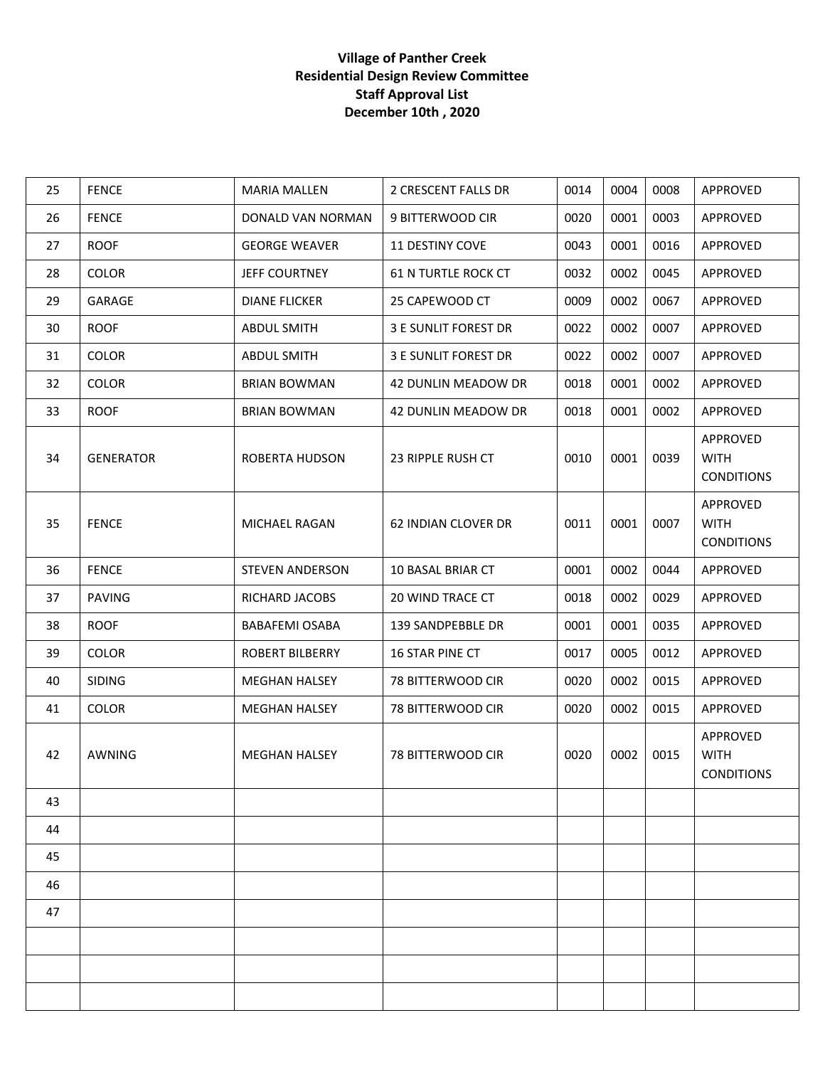## **Village of Panther Creek Residential Design Review Committee Staff Approval List December 10th , 2020**

| 25 | <b>FENCE</b>     | <b>MARIA MALLEN</b>    | 2 CRESCENT FALLS DR         | 0014 | 0004 | 0008 | APPROVED                                     |
|----|------------------|------------------------|-----------------------------|------|------|------|----------------------------------------------|
| 26 | <b>FENCE</b>     | DONALD VAN NORMAN      | 9 BITTERWOOD CIR            | 0020 | 0001 | 0003 | APPROVED                                     |
| 27 | <b>ROOF</b>      | <b>GEORGE WEAVER</b>   | <b>11 DESTINY COVE</b>      | 0043 | 0001 | 0016 | APPROVED                                     |
| 28 | <b>COLOR</b>     | <b>JEFF COURTNEY</b>   | <b>61 N TURTLE ROCK CT</b>  | 0032 | 0002 | 0045 | APPROVED                                     |
| 29 | GARAGE           | <b>DIANE FLICKER</b>   | 25 CAPEWOOD CT              | 0009 | 0002 | 0067 | APPROVED                                     |
| 30 | <b>ROOF</b>      | <b>ABDUL SMITH</b>     | <b>3 E SUNLIT FOREST DR</b> | 0022 | 0002 | 0007 | APPROVED                                     |
| 31 | <b>COLOR</b>     | <b>ABDUL SMITH</b>     | <b>3 E SUNLIT FOREST DR</b> | 0022 | 0002 | 0007 | APPROVED                                     |
| 32 | <b>COLOR</b>     | <b>BRIAN BOWMAN</b>    | 42 DUNLIN MEADOW DR         | 0018 | 0001 | 0002 | APPROVED                                     |
| 33 | <b>ROOF</b>      | <b>BRIAN BOWMAN</b>    | 42 DUNLIN MEADOW DR         | 0018 | 0001 | 0002 | APPROVED                                     |
| 34 | <b>GENERATOR</b> | ROBERTA HUDSON         | 23 RIPPLE RUSH CT           | 0010 | 0001 | 0039 | APPROVED<br><b>WITH</b><br><b>CONDITIONS</b> |
| 35 | <b>FENCE</b>     | MICHAEL RAGAN          | 62 INDIAN CLOVER DR         | 0011 | 0001 | 0007 | APPROVED<br><b>WITH</b><br><b>CONDITIONS</b> |
| 36 | <b>FENCE</b>     | <b>STEVEN ANDERSON</b> | 10 BASAL BRIAR CT           | 0001 | 0002 | 0044 | APPROVED                                     |
| 37 | <b>PAVING</b>    | RICHARD JACOBS         | 20 WIND TRACE CT            | 0018 | 0002 | 0029 | APPROVED                                     |
| 38 | <b>ROOF</b>      | <b>BABAFEMI OSABA</b>  | 139 SANDPEBBLE DR           | 0001 | 0001 | 0035 | APPROVED                                     |
| 39 | COLOR            | ROBERT BILBERRY        | 16 STAR PINE CT             | 0017 | 0005 | 0012 | APPROVED                                     |
| 40 | <b>SIDING</b>    | <b>MEGHAN HALSEY</b>   | 78 BITTERWOOD CIR           | 0020 | 0002 | 0015 | APPROVED                                     |
| 41 | <b>COLOR</b>     | <b>MEGHAN HALSEY</b>   | 78 BITTERWOOD CIR           | 0020 | 0002 | 0015 | APPROVED                                     |
| 42 | AWNING           | <b>MEGHAN HALSEY</b>   | 78 BITTERWOOD CIR           | 0020 | 0002 | 0015 | APPROVED<br><b>WITH</b><br><b>CONDITIONS</b> |
| 43 |                  |                        |                             |      |      |      |                                              |
| 44 |                  |                        |                             |      |      |      |                                              |
| 45 |                  |                        |                             |      |      |      |                                              |
| 46 |                  |                        |                             |      |      |      |                                              |
| 47 |                  |                        |                             |      |      |      |                                              |
|    |                  |                        |                             |      |      |      |                                              |
|    |                  |                        |                             |      |      |      |                                              |
|    |                  |                        |                             |      |      |      |                                              |